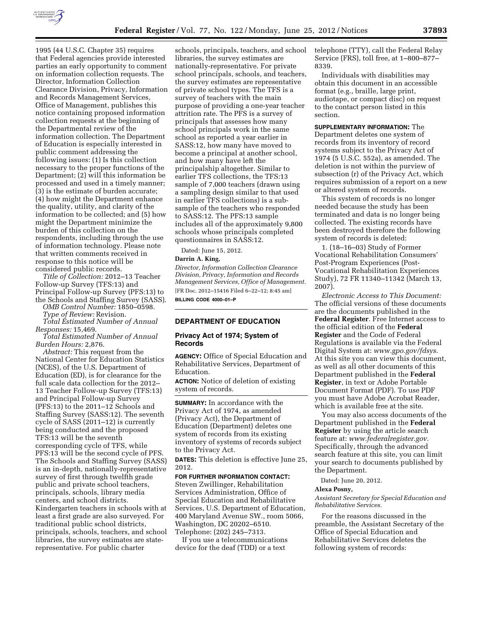

1995 (44 U.S.C. Chapter 35) requires that Federal agencies provide interested parties an early opportunity to comment on information collection requests. The Director, Information Collection Clearance Division, Privacy, Information and Records Management Services, Office of Management, publishes this notice containing proposed information collection requests at the beginning of the Departmental review of the information collection. The Department of Education is especially interested in public comment addressing the following issues: (1) Is this collection necessary to the proper functions of the Department; (2) will this information be processed and used in a timely manner; (3) is the estimate of burden accurate; (4) how might the Department enhance the quality, utility, and clarity of the information to be collected; and (5) how might the Department minimize the burden of this collection on the respondents, including through the use of information technology. Please note that written comments received in response to this notice will be considered public records.

*Title of Collection:* 2012–13 Teacher Follow-up Survey (TFS:13) and Principal Follow-up Survey (PFS:13) to the Schools and Staffing Survey (SASS).

*OMB Control Number:* 1850–0598.

*Type of Review:* Revision.

*Total Estimated Number of Annual Responses:* 15,469.

*Total Estimated Number of Annual Burden Hours:* 2,876.

*Abstract:* This request from the National Center for Education Statistics (NCES), of the U.S. Department of Education (ED), is for clearance for the full scale data collection for the 2012– 13 Teacher Follow-up Survey (TFS:13) and Principal Follow-up Survey (PFS:13) to the 2011–12 Schools and Staffing Survey (SASS:12). The seventh cycle of SASS (2011–12) is currently being conducted and the proposed TFS:13 will be the seventh corresponding cycle of TFS, while PFS:13 will be the second cycle of PFS. The Schools and Staffing Survey (SASS) is an in-depth, nationally-representative survey of first through twelfth grade public and private school teachers, principals, schools, library media centers, and school districts. Kindergarten teachers in schools with at least a first grade are also surveyed. For traditional public school districts, principals, schools, teachers, and school libraries, the survey estimates are staterepresentative. For public charter

schools, principals, teachers, and school libraries, the survey estimates are nationally-representative. For private school principals, schools, and teachers, the survey estimates are representative of private school types. The TFS is a survey of teachers with the main purpose of providing a one-year teacher attrition rate. The PFS is a survey of principals that assesses how many school principals work in the same school as reported a year earlier in SASS:12, how many have moved to become a principal at another school, and how many have left the principalship altogether. Similar to earlier TFS collections, the TFS:13 sample of 7,000 teachers (drawn using a sampling design similar to that used in earlier TFS collections) is a subsample of the teachers who responded to SASS:12. The PFS:13 sample includes all of the approximately 9,800 schools whose principals completed questionnaires in SASS:12.

Dated: June 15, 2012.

# **Darrin A. King,**

*Director, Information Collection Clearance Division, Privacy, Information and Records Management Services, Office of Management.*  [FR Doc. 2012–15416 Filed 6–22–12; 8:45 am] **BILLING CODE 4000–01–P** 

# **DEPARTMENT OF EDUCATION**

## **Privacy Act of 1974; System of Records**

**AGENCY:** Office of Special Education and Rehabilitative Services, Department of Education.

**ACTION:** Notice of deletion of existing system of records.

**SUMMARY:** In accordance with the Privacy Act of 1974, as amended (Privacy Act), the Department of Education (Department) deletes one system of records from its existing inventory of systems of records subject to the Privacy Act.

**DATES:** This deletion is effective June 25, 2012.

### **FOR FURTHER INFORMATION CONTACT:**

Steven Zwillinger, Rehabilitation Services Administration, Office of Special Education and Rehabilitative Services, U.S. Department of Education, 400 Maryland Avenue SW., room 5066, Washington, DC 20202–6510. Telephone: (202) 245–7313.

If you use a telecommunications device for the deaf (TDD) or a text

telephone (TTY), call the Federal Relay Service (FRS), toll free, at 1–800–877– 8339.

Individuals with disabilities may obtain this document in an accessible format (e.g., braille, large print, audiotape, or compact disc) on request to the contact person listed in this section.

**SUPPLEMENTARY INFORMATION:** The Department deletes one system of records from its inventory of record systems subject to the Privacy Act of 1974 (5 U.S.C. 552a), as amended. The deletion is not within the purview of subsection (r) of the Privacy Act, which requires submission of a report on a new or altered system of records.

This system of records is no longer needed because the study has been terminated and data is no longer being collected. The existing records have been destroyed therefore the following system of records is deleted:

1. (18–16–03) Study of Former Vocational Rehabilitation Consumers' Post-Program Experiences (Post-Vocational Rehabilitation Experiences Study), 72 FR 11340–11342 (March 13, 2007).

*Electronic Access to This Document:*  The official versions of these documents are the documents published in the **Federal Register**. Free Internet access to the official edition of the **Federal Register** and the Code of Federal Regulations is available via the Federal Digital System at: *[www.gpo.gov/fdsys.](http://www.gpo.gov/fdsys)*  At this site you can view this document, as well as all other documents of this Department published in the **Federal Register**, in text or Adobe Portable Document Format (PDF). To use PDF you must have Adobe Acrobat Reader, which is available free at the site.

You may also access documents of the Department published in the **Federal Register** by using the article search feature at: *[www.federalregister.gov.](http://www.federalregister.gov)*  Specifically, through the advanced search feature at this site, you can limit your search to documents published by the Department.

Dated: June 20, 2012.

### **Alexa Posny,**

*Assistant Secretary for Special Education and Rehabilitative Services.* 

For the reasons discussed in the preamble, the Assistant Secretary of the Office of Special Education and Rehabilitative Services deletes the following system of records: